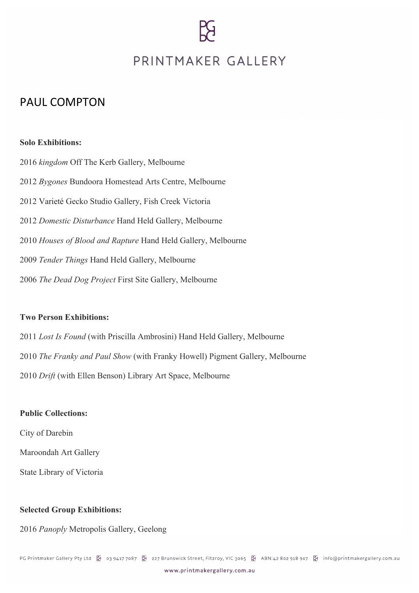# PRINTMAKER GALLERY

## PAUL COMPTON

#### **Solo Exhibitions:**

*kingdom* Off The Kerb Gallery, Melbourne *Bygones* Bundoora Homestead Arts Centre, Melbourne 2012 Varieté Gecko Studio Gallery, Fish Creek Victoria *Domestic Disturbance* Hand Held Gallery, Melbourne *Houses of Blood and Rapture* Hand Held Gallery, Melbourne *Tender Things* Hand Held Gallery, Melbourne *The Dead Dog Project* First Site Gallery, Melbourne

#### **Two Person Exhibitions:**

2011 *Lost Is Found* (with Priscilla Ambrosini) Hand Held Gallery, Melbourne 2010 *The Franky and Paul Show* (with Franky Howell) Pigment Gallery, Melbourne 2010 *Drift* (with Ellen Benson) Library Art Space, Melbourne

#### **Public Collections:**

City of Darebin

Maroondah Art Gallery

State Library of Victoria

### **Selected Group Exhibitions:**

2016 *Panoply* Metropolis Gallery, Geelong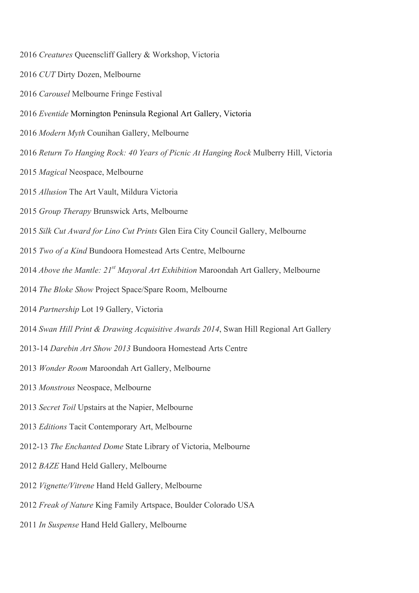- *Creatures* Queenscliff Gallery & Workshop, Victoria
- *CUT* Dirty Dozen, Melbourne
- *Carousel* Melbourne Fringe Festival
- *Eventide* Mornington Peninsula Regional Art Gallery, Victoria
- *Modern Myth* Counihan Gallery, Melbourne
- *Return To Hanging Rock: 40 Years of Picnic At Hanging Rock* Mulberry Hill, Victoria
- *Magical* Neospace, Melbourne
- *Allusion* The Art Vault, Mildura Victoria
- *Group Therapy* Brunswick Arts, Melbourne
- *Silk Cut Award for Lino Cut Prints* Glen Eira City Council Gallery, Melbourne
- *Two of a Kind* Bundoora Homestead Arts Centre, Melbourne
- *Above the Mantle: 21st Mayoral Art Exhibition* Maroondah Art Gallery, Melbourne
- *The Bloke Show* Project Space/Spare Room, Melbourne
- *Partnership* Lot 19 Gallery, Victoria
- *Swan Hill Print & Drawing Acquisitive Awards 2014*, Swan Hill Regional Art Gallery
- 2013-14 *Darebin Art Show 2013* Bundoora Homestead Arts Centre
- *Wonder Room* Maroondah Art Gallery, Melbourne
- *Monstrous* Neospace, Melbourne
- *Secret Toil* Upstairs at the Napier, Melbourne
- *Editions* Tacit Contemporary Art, Melbourne
- 2012-13 *The Enchanted Dome* State Library of Victoria, Melbourne
- *BAZE* Hand Held Gallery, Melbourne
- *Vignette/Vitrene* Hand Held Gallery, Melbourne
- *Freak of Nature* King Family Artspace, Boulder Colorado USA
- *In Suspense* Hand Held Gallery, Melbourne